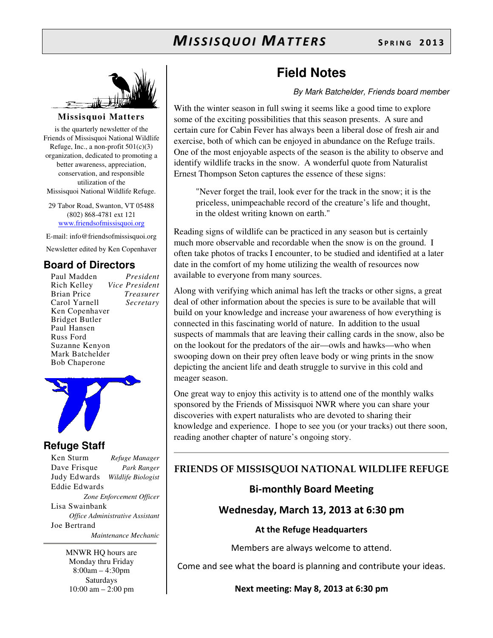

**Missisquoi Matters** 

is the quarterly newsletter of the Friends of Missisquoi National Wildlife Refuge, Inc., a non-profit  $501(c)(3)$ organization, dedicated to promoting a better awareness, appreciation, conservation, and responsible utilization of the Missisquoi National Wildlife Refuge.

29 Tabor Road, Swanton, VT 05488 (802) 868-4781 ext 121 www.friendsofmissisquoi.org

E-mail: info@friendsofmissisquoi.org Newsletter edited by Ken Copenhaver

### **Board of Directors**

Paul Madden *President* **Vice President** Brian Price *Treasurer* Carol Yarnell *Secretary*  Ken Copenhaver Bridget Butler Paul Hansen Russ Ford Suzanne Kenyon Mark Batchelder Bob Chaperone



### **Refuge Staff**

Ken Sturm *Refuge Manager* Dave Frisque *Park Ranger* Judy Edwards *Wildlife Biologist* Eddie Edwards *Zone Enforcement Officer* Lisa Swainbank *Office Administrative Assistant*  Joe Bertrand  *Maintenance Mechanic*

> MNWR HQ hours are Monday thru Friday 8:00am – 4:30pm Saturdays 10:00 am – 2:00 pm

## **Field Notes**

By Mark Batchelder, Friends board member

With the winter season in full swing it seems like a good time to explore some of the exciting possibilities that this season presents. A sure and certain cure for Cabin Fever has always been a liberal dose of fresh air and exercise, both of which can be enjoyed in abundance on the Refuge trails. One of the most enjoyable aspects of the season is the ability to observe and identify wildlife tracks in the snow. A wonderful quote from Naturalist Ernest Thompson Seton captures the essence of these signs:

"Never forget the trail, look ever for the track in the snow; it is the priceless, unimpeachable record of the creature's life and thought, in the oldest writing known on earth."

Reading signs of wildlife can be practiced in any season but is certainly much more observable and recordable when the snow is on the ground. I often take photos of tracks I encounter, to be studied and identified at a later date in the comfort of my home utilizing the wealth of resources now available to everyone from many sources.

Along with verifying which animal has left the tracks or other signs, a great deal of other information about the species is sure to be available that will build on your knowledge and increase your awareness of how everything is connected in this fascinating world of nature. In addition to the usual suspects of mammals that are leaving their calling cards in the snow, also be on the lookout for the predators of the air—owls and hawks—who when swooping down on their prey often leave body or wing prints in the snow depicting the ancient life and death struggle to survive in this cold and meager season.

One great way to enjoy this activity is to attend one of the monthly walks sponsored by the Friends of Missisquoi NWR where you can share your discoveries with expert naturalists who are devoted to sharing their knowledge and experience. I hope to see you (or your tracks) out there soon, reading another chapter of nature's ongoing story.

### FRIENDS OF MISSISQUOI NATIONAL WILDLIFE REFUGE

### Bi-monthly Board Meeting

### Wednesday, March 13, 2013 at 6:30 pm

At the Refuge Headquarters

Members are always welcome to attend.

Come and see what the board is planning and contribute your ideas.

Next meeting: May 8, 2013 at 6:30 pm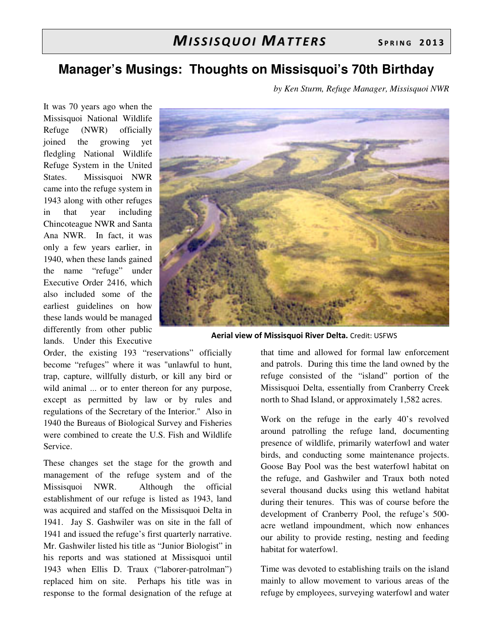## **Manager's Musings: Thoughts on Missisquoi's 70th Birthday**

*by Ken Sturm, Refuge Manager, Missisquoi NWR* 

It was 70 years ago when the Missisquoi National Wildlife Refuge (NWR) officially joined the growing yet fledgling National Wildlife Refuge System in the United States. Missisquoi NWR came into the refuge system in 1943 along with other refuges in that year including Chincoteague NWR and Santa Ana NWR. In fact, it was only a few years earlier, in 1940, when these lands gained the name "refuge" under Executive Order 2416, which also included some of the earliest guidelines on how these lands would be managed differently from other public lands. Under this Executive



Aerial view of Missisquoi River Delta. Credit: USFWS

Order, the existing 193 "reservations" officially become "refuges" where it was "unlawful to hunt, trap, capture, willfully disturb, or kill any bird or wild animal ... or to enter thereon for any purpose, except as permitted by law or by rules and regulations of the Secretary of the Interior." Also in 1940 the Bureaus of Biological Survey and Fisheries were combined to create the U.S. Fish and Wildlife Service.

These changes set the stage for the growth and management of the refuge system and of the Missisquoi NWR. Although the official establishment of our refuge is listed as 1943, land was acquired and staffed on the Missisquoi Delta in 1941. Jay S. Gashwiler was on site in the fall of 1941 and issued the refuge's first quarterly narrative. Mr. Gashwiler listed his title as "Junior Biologist" in his reports and was stationed at Missisquoi until 1943 when Ellis D. Traux ("laborer-patrolman") replaced him on site. Perhaps his title was in response to the formal designation of the refuge at that time and allowed for formal law enforcement and patrols. During this time the land owned by the refuge consisted of the "island" portion of the Missisquoi Delta, essentially from Cranberry Creek north to Shad Island, or approximately 1,582 acres.

Work on the refuge in the early 40's revolved around patrolling the refuge land, documenting presence of wildlife, primarily waterfowl and water birds, and conducting some maintenance projects. Goose Bay Pool was the best waterfowl habitat on the refuge, and Gashwiler and Traux both noted several thousand ducks using this wetland habitat during their tenures. This was of course before the development of Cranberry Pool, the refuge's 500 acre wetland impoundment, which now enhances our ability to provide resting, nesting and feeding habitat for waterfowl.

Time was devoted to establishing trails on the island mainly to allow movement to various areas of the refuge by employees, surveying waterfowl and water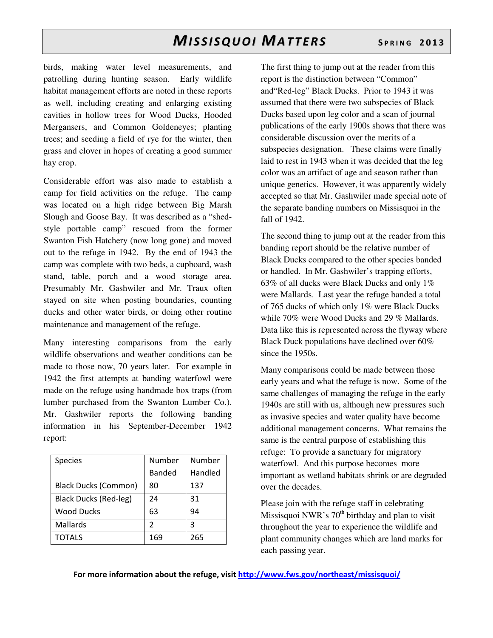birds, making water level measurements, and patrolling during hunting season. Early wildlife habitat management efforts are noted in these reports as well, including creating and enlarging existing cavities in hollow trees for Wood Ducks, Hooded Mergansers, and Common Goldeneyes; planting trees; and seeding a field of rye for the winter, then grass and clover in hopes of creating a good summer hay crop.

Considerable effort was also made to establish a camp for field activities on the refuge. The camp was located on a high ridge between Big Marsh Slough and Goose Bay. It was described as a "shedstyle portable camp" rescued from the former Swanton Fish Hatchery (now long gone) and moved out to the refuge in 1942. By the end of 1943 the camp was complete with two beds, a cupboard, wash stand, table, porch and a wood storage area. Presumably Mr. Gashwiler and Mr. Traux often stayed on site when posting boundaries, counting ducks and other water birds, or doing other routine maintenance and management of the refuge.

Many interesting comparisons from the early wildlife observations and weather conditions can be made to those now, 70 years later. For example in 1942 the first attempts at banding waterfowl were made on the refuge using handmade box traps (from lumber purchased from the Swanton Lumber Co.). Mr. Gashwiler reports the following banding information in his September-December 1942 report:

| <b>Species</b>              | Number        | Number  |
|-----------------------------|---------------|---------|
|                             | <b>Banded</b> | Handled |
| <b>Black Ducks (Common)</b> | 80            | 137     |
| Black Ducks (Red-leg)       | 24            | 31      |
| <b>Wood Ducks</b>           | 63            | 94      |
| Mallards                    | $\mathcal{P}$ | ξ       |
| <b>TOTALS</b>               | 169           | 265     |

The first thing to jump out at the reader from this report is the distinction between "Common" and"Red-leg" Black Ducks. Prior to 1943 it was assumed that there were two subspecies of Black Ducks based upon leg color and a scan of journal publications of the early 1900s shows that there was considerable discussion over the merits of a subspecies designation. These claims were finally laid to rest in 1943 when it was decided that the leg color was an artifact of age and season rather than unique genetics. However, it was apparently widely accepted so that Mr. Gashwiler made special note of the separate banding numbers on Missisquoi in the fall of 1942.

The second thing to jump out at the reader from this banding report should be the relative number of Black Ducks compared to the other species banded or handled. In Mr. Gashwiler's trapping efforts, 63% of all ducks were Black Ducks and only 1% were Mallards. Last year the refuge banded a total of 765 ducks of which only 1% were Black Ducks while 70% were Wood Ducks and 29 % Mallards. Data like this is represented across the flyway where Black Duck populations have declined over 60% since the 1950s.

Many comparisons could be made between those early years and what the refuge is now. Some of the same challenges of managing the refuge in the early 1940s are still with us, although new pressures such as invasive species and water quality have become additional management concerns. What remains the same is the central purpose of establishing this refuge: To provide a sanctuary for migratory waterfowl. And this purpose becomes more important as wetland habitats shrink or are degraded over the decades.

Please join with the refuge staff in celebrating Missisquoi NWR's  $70<sup>th</sup>$  birthday and plan to visit throughout the year to experience the wildlife and plant community changes which are land marks for each passing year.

For more information about the refuge, visit http://www.fws.gov/northeast/missisquoi/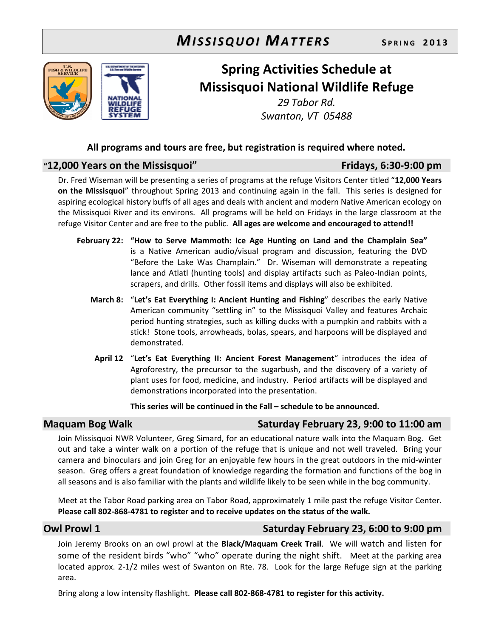

## Spring Activities Schedule at Missisquoi National Wildlife Refuge

29 Tabor Rd. Swanton, VT 05488

### All programs and tours are free, but registration is required where noted.

### "12,000 Years on the Missisquoi" Fridays, 6:30-9:00 pm

Dr. Fred Wiseman will be presenting a series of programs at the refuge Visitors Center titled "12,000 Years on the Missisquoi" throughout Spring 2013 and continuing again in the fall. This series is designed for aspiring ecological history buffs of all ages and deals with ancient and modern Native American ecology on the Missisquoi River and its environs. All programs will be held on Fridays in the large classroom at the refuge Visitor Center and are free to the public. All ages are welcome and encouraged to attend!!

- February 22: "How to Serve Mammoth: Ice Age Hunting on Land and the Champlain Sea" is a Native American audio/visual program and discussion, featuring the DVD "Before the Lake Was Champlain." Dr. Wiseman will demonstrate a repeating lance and Atlatl (hunting tools) and display artifacts such as Paleo-Indian points, scrapers, and drills. Other fossil items and displays will also be exhibited.
	- March 8: "Let's Eat Everything I: Ancient Hunting and Fishing" describes the early Native American community "settling in" to the Missisquoi Valley and features Archaic period hunting strategies, such as killing ducks with a pumpkin and rabbits with a stick! Stone tools, arrowheads, bolas, spears, and harpoons will be displayed and demonstrated.
	- April 12 "Let's Eat Everything II: Ancient Forest Management" introduces the idea of Agroforestry, the precursor to the sugarbush, and the discovery of a variety of plant uses for food, medicine, and industry. Period artifacts will be displayed and demonstrations incorporated into the presentation.

This series will be continued in the Fall – schedule to be announced.

### Maquam Bog Walk Saturday February 23, 9:00 to 11:00 am

Join Missisquoi NWR Volunteer, Greg Simard, for an educational nature walk into the Maquam Bog. Get out and take a winter walk on a portion of the refuge that is unique and not well traveled. Bring your camera and binoculars and join Greg for an enjoyable few hours in the great outdoors in the mid-winter season. Greg offers a great foundation of knowledge regarding the formation and functions of the bog in all seasons and is also familiar with the plants and wildlife likely to be seen while in the bog community.

Meet at the Tabor Road parking area on Tabor Road, approximately 1 mile past the refuge Visitor Center. Please call 802-868-4781 to register and to receive updates on the status of the walk.

### Owl Prowl 1 Saturday February 23, 6:00 to 9:00 pm

Join Jeremy Brooks on an owl prowl at the Black/Maquam Creek Trail. We will watch and listen for some of the resident birds "who" "who" operate during the night shift. Meet at the parking area located approx. 2-1/2 miles west of Swanton on Rte. 78. Look for the large Refuge sign at the parking area.

Bring along a low intensity flashlight. Please call 802-868-4781 to register for this activity.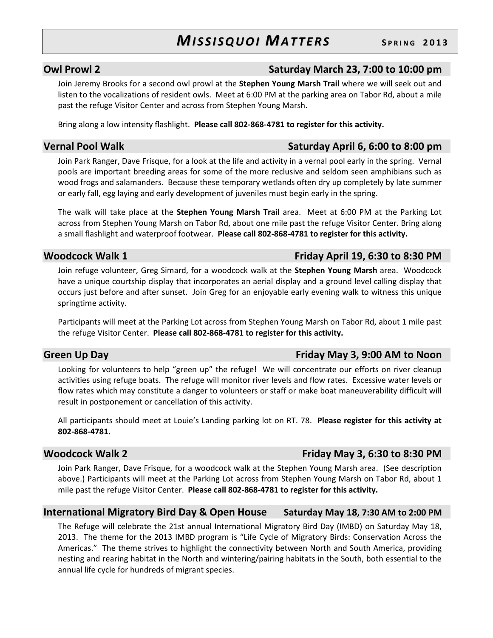### Owl Prowl 2 Saturday March 23, 7:00 to 10:00 pm

Join Jeremy Brooks for a second owl prowl at the Stephen Young Marsh Trail where we will seek out and listen to the vocalizations of resident owls. Meet at 6:00 PM at the parking area on Tabor Rd, about a mile past the refuge Visitor Center and across from Stephen Young Marsh.

Bring along a low intensity flashlight. Please call 802-868-4781 to register for this activity.

Vernal Pool Walk **Vernal Pool Walk** Saturday April 6, 6:00 to 8:00 pm

Join Park Ranger, Dave Frisque, for a look at the life and activity in a vernal pool early in the spring. Vernal pools are important breeding areas for some of the more reclusive and seldom seen amphibians such as wood frogs and salamanders. Because these temporary wetlands often dry up completely by late summer or early fall, egg laying and early development of juveniles must begin early in the spring.

The walk will take place at the Stephen Young Marsh Trail area. Meet at 6:00 PM at the Parking Lot across from Stephen Young Marsh on Tabor Rd, about one mile past the refuge Visitor Center. Bring along a small flashlight and waterproof footwear. Please call 802-868-4781 to register for this activity.

Join refuge volunteer, Greg Simard, for a woodcock walk at the Stephen Young Marsh area. Woodcock have a unique courtship display that incorporates an aerial display and a ground level calling display that occurs just before and after sunset. Join Greg for an enjoyable early evening walk to witness this unique springtime activity.

Participants will meet at the Parking Lot across from Stephen Young Marsh on Tabor Rd, about 1 mile past the refuge Visitor Center. Please call 802-868-4781 to register for this activity.

Looking for volunteers to help "green up" the refuge! We will concentrate our efforts on river cleanup activities using refuge boats. The refuge will monitor river levels and flow rates. Excessive water levels or flow rates which may constitute a danger to volunteers or staff or make boat maneuverability difficult will result in postponement or cancellation of this activity.

All participants should meet at Louie's Landing parking lot on RT. 78. Please register for this activity at 802-868-4781.

Join Park Ranger, Dave Frisque, for a woodcock walk at the Stephen Young Marsh area. (See description above.) Participants will meet at the Parking Lot across from Stephen Young Marsh on Tabor Rd, about 1 mile past the refuge Visitor Center. Please call 802-868-4781 to register for this activity.

### International Migratory Bird Day & Open House Saturday May 18, 7:30 AM to 2:00 PM

The Refuge will celebrate the 21st annual International Migratory Bird Day (IMBD) on Saturday May 18, 2013. The theme for the 2013 IMBD program is "Life Cycle of Migratory Birds: Conservation Across the Americas." The theme strives to highlight the connectivity between North and South America, providing nesting and rearing habitat in the North and wintering/pairing habitats in the South, both essential to the annual life cycle for hundreds of migrant species.

### Green Up Day **Friday May 3, 9:00 AM to Noon**

## Woodcock Walk 1 **Example 20** Friday April 19, 6:30 to 8:30 PM

### Woodcock Walk 2 Friday May 3, 6:30 to 8:30 PM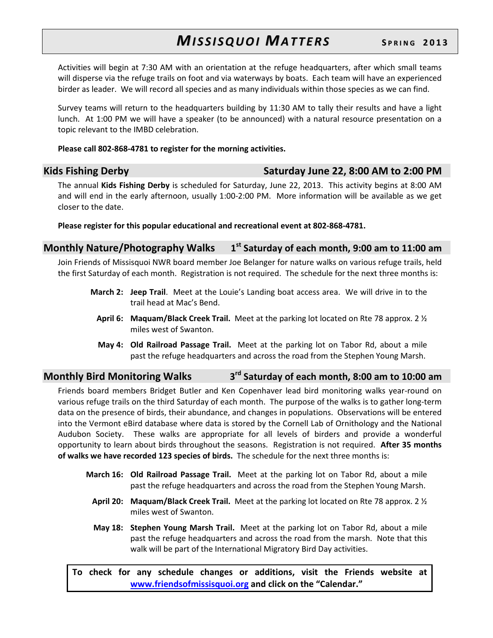Activities will begin at 7:30 AM with an orientation at the refuge headquarters, after which small teams will disperse via the refuge trails on foot and via waterways by boats. Each team will have an experienced birder as leader. We will record all species and as many individuals within those species as we can find.

Survey teams will return to the headquarters building by 11:30 AM to tally their results and have a light lunch. At 1:00 PM we will have a speaker (to be announced) with a natural resource presentation on a topic relevant to the IMBD celebration.

### Please call 802-868-4781 to register for the morning activities.

Kids Fishing Derby **Saturday June 22, 8:00 AM to 2:00 PM** 

The annual Kids Fishing Derby is scheduled for Saturday, June 22, 2013. This activity begins at 8:00 AM and will end in the early afternoon, usually 1:00-2:00 PM. More information will be available as we get closer to the date.

Please register for this popular educational and recreational event at 802-868-4781.

### Monthly Nature/Photography Walks 1  $1<sup>st</sup>$  Saturday of each month, 9:00 am to 11:00 am

Join Friends of Missisquoi NWR board member Joe Belanger for nature walks on various refuge trails, held the first Saturday of each month. Registration is not required. The schedule for the next three months is:

- March 2: Jeep Trail. Meet at the Louie's Landing boat access area. We will drive in to the trail head at Mac's Bend.
	- April 6: Maquam/Black Creek Trail. Meet at the parking lot located on Rte 78 approx. 2  $\frac{1}{2}$ miles west of Swanton.
	- May 4: Old Railroad Passage Trail. Meet at the parking lot on Tabor Rd, about a mile past the refuge headquarters and across the road from the Stephen Young Marsh.

### Monthly Bird Monitoring Walks 3 3<sup>rd</sup> Saturday of each month, 8:00 am to 10:00 am

Friends board members Bridget Butler and Ken Copenhaver lead bird monitoring walks year-round on various refuge trails on the third Saturday of each month. The purpose of the walks is to gather long-term data on the presence of birds, their abundance, and changes in populations. Observations will be entered into the Vermont eBird database where data is stored by the Cornell Lab of Ornithology and the National Audubon Society. These walks are appropriate for all levels of birders and provide a wonderful opportunity to learn about birds throughout the seasons. Registration is not required. After 35 months of walks we have recorded 123 species of birds. The schedule for the next three months is:

- March 16: Old Railroad Passage Trail. Meet at the parking lot on Tabor Rd, about a mile past the refuge headquarters and across the road from the Stephen Young Marsh.
	- April 20: Maquam/Black Creek Trail. Meet at the parking lot located on Rte 78 approx. 2  $\frac{1}{2}$ miles west of Swanton.
	- May 18: Stephen Young Marsh Trail. Meet at the parking lot on Tabor Rd, about a mile past the refuge headquarters and across the road from the marsh. Note that this walk will be part of the International Migratory Bird Day activities.

To check for any schedule changes or additions, visit the Friends website at www.friendsofmissisquoi.org and click on the "Calendar."